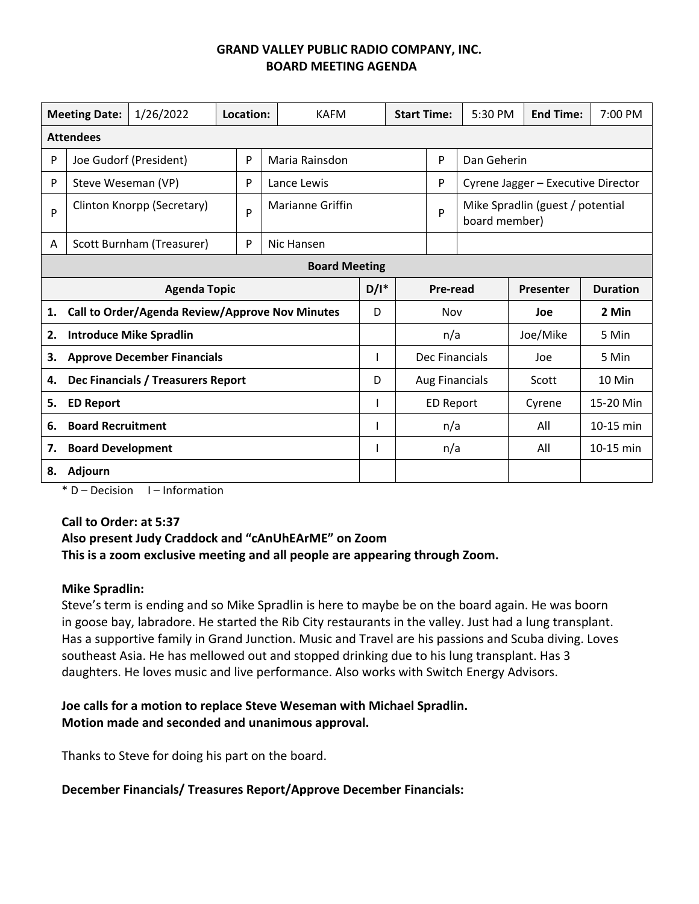| 1/26/2022<br><b>Meeting Date:</b>                     |                            |                           | Location: |   | <b>KAFM</b>      |         | <b>Start Time:</b> |                       | 5:30 PM                                           | <b>End Time:</b> | 7:00 PM         |
|-------------------------------------------------------|----------------------------|---------------------------|-----------|---|------------------|---------|--------------------|-----------------------|---------------------------------------------------|------------------|-----------------|
| <b>Attendees</b>                                      |                            |                           |           |   |                  |         |                    |                       |                                                   |                  |                 |
| P                                                     | Joe Gudorf (President)     |                           |           | P | Maria Rainsdon   |         |                    | P                     | Dan Geherin                                       |                  |                 |
| P                                                     | Steve Weseman (VP)         |                           |           | P | Lance Lewis      |         |                    | P                     | Cyrene Jagger - Executive Director                |                  |                 |
| P                                                     | Clinton Knorpp (Secretary) |                           |           | P | Marianne Griffin |         |                    | P                     | Mike Spradlin (guest / potential<br>board member) |                  |                 |
| A                                                     |                            | Scott Burnham (Treasurer) |           | P | Nic Hansen       |         |                    |                       |                                                   |                  |                 |
| <b>Board Meeting</b>                                  |                            |                           |           |   |                  |         |                    |                       |                                                   |                  |                 |
| <b>Agenda Topic</b>                                   |                            |                           |           |   |                  | $D/I^*$ |                    | <b>Pre-read</b>       |                                                   | Presenter        | <b>Duration</b> |
| Call to Order/Agenda Review/Approve Nov Minutes<br>1. |                            |                           |           |   |                  | D       |                    | Nov                   |                                                   | Joe              | 2 Min           |
| <b>Introduce Mike Spradlin</b><br>2.                  |                            |                           |           |   |                  |         |                    | n/a                   |                                                   | Joe/Mike         | 5 Min           |
| <b>Approve December Financials</b><br>3.              |                            |                           |           |   |                  |         |                    | Dec Financials        |                                                   | Joe              | 5 Min           |
| Dec Financials / Treasurers Report<br>4.              |                            |                           |           |   |                  | D       |                    | <b>Aug Financials</b> |                                                   | Scott            | 10 Min          |
| 5.                                                    | <b>ED Report</b>           |                           |           |   |                  |         |                    | <b>ED Report</b>      |                                                   | Cyrene           | 15-20 Min       |
| 6.                                                    | <b>Board Recruitment</b>   |                           |           |   |                  |         |                    | n/a                   |                                                   | All              | 10-15 min       |
| <b>Board Development</b><br>7.                        |                            |                           |           |   |                  |         |                    | n/a                   |                                                   | All              | 10-15 min       |
| Adjourn<br>8.                                         |                            |                           |           |   |                  |         |                    |                       |                                                   |                  |                 |

 $*$  D – Decision I – Information

#### **Call to Order: at 5:37**

# **Also present Judy Craddock and "cAnUhEArME" on Zoom This is a zoom exclusive meeting and all people are appearing through Zoom.**

#### **Mike Spradlin:**

Steve's term is ending and so Mike Spradlin is here to maybe be on the board again. He was boorn in goose bay, labradore. He started the Rib City restaurants in the valley. Just had a lung transplant. Has a supportive family in Grand Junction. Music and Travel are his passions and Scuba diving. Loves southeast Asia. He has mellowed out and stopped drinking due to his lung transplant. Has 3 daughters. He loves music and live performance. Also works with Switch Energy Advisors.

#### **Joe calls for a motion to replace Steve Weseman with Michael Spradlin. Motion made and seconded and unanimous approval.**

Thanks to Steve for doing his part on the board.

#### **December Financials/ Treasures Report/Approve December Financials:**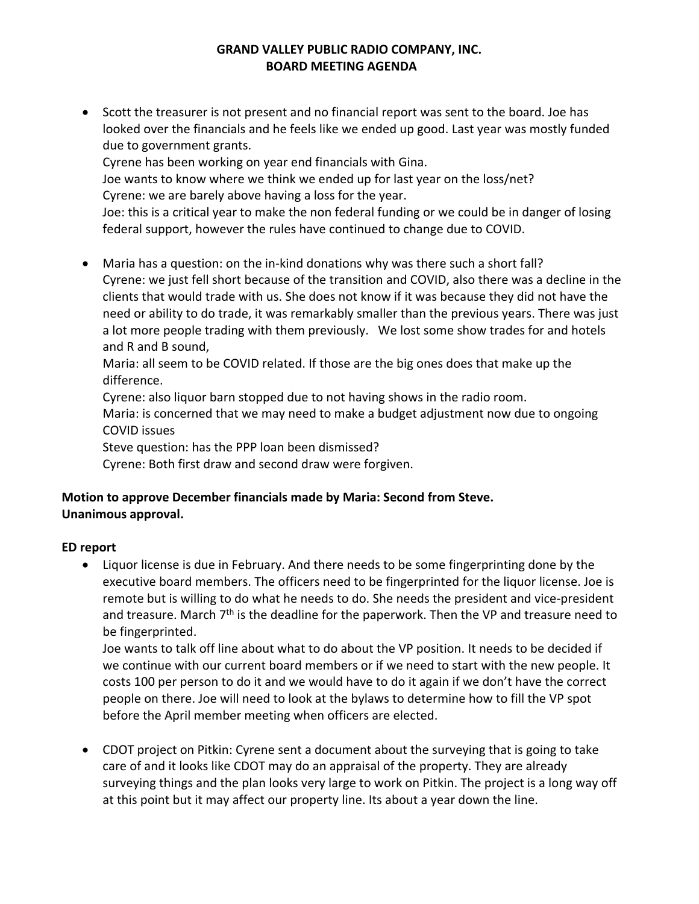Scott the treasurer is not present and no financial report was sent to the board. Joe has looked over the financials and he feels like we ended up good. Last year was mostly funded due to government grants. Cyrene has been working on year end financials with Gina. Joe wants to know where we think we ended up for last year on the loss/net? Cyrene: we are barely above having a loss for the year.

Joe: this is a critical year to make the non federal funding or we could be in danger of losing federal support, however the rules have continued to change due to COVID.

■ Maria has a question: on the in-kind donations why was there such a short fall? Cyrene: we just fell short because of the transition and COVID, also there was a decline in the clients that would trade with us. She does not know if it was because they did not have the need or ability to do trade, it was remarkably smaller than the previous years. There was just a lot more people trading with them previously. We lost some show trades for and hotels and R and B sound,

Maria: all seem to be COVID related. If those are the big ones does that make up the difference.

Cyrene: also liquor barn stopped due to not having shows in the radio room.

Maria: is concerned that we may need to make a budget adjustment now due to ongoing COVID issues

Steve question: has the PPP loan been dismissed?

Cyrene: Both first draw and second draw were forgiven.

# **Motion to approve December financials made by Maria: Second from Steve. Unanimous approval.**

# **ED report**

 Liquor license is due in February. And there needs to be some fingerprinting done by the executive board members. The officers need to be fingerprinted for the liquor license. Joe is remote but is willing to do what he needs to do. She needs the president and vice‐president and treasure. March  $7<sup>th</sup>$  is the deadline for the paperwork. Then the VP and treasure need to be fingerprinted.

Joe wants to talk off line about what to do about the VP position. It needs to be decided if we continue with our current board members or if we need to start with the new people. It costs 100 per person to do it and we would have to do it again if we don't have the correct people on there. Joe will need to look at the bylaws to determine how to fill the VP spot before the April member meeting when officers are elected.

 CDOT project on Pitkin: Cyrene sent a document about the surveying that is going to take care of and it looks like CDOT may do an appraisal of the property. They are already surveying things and the plan looks very large to work on Pitkin. The project is a long way off at this point but it may affect our property line. Its about a year down the line.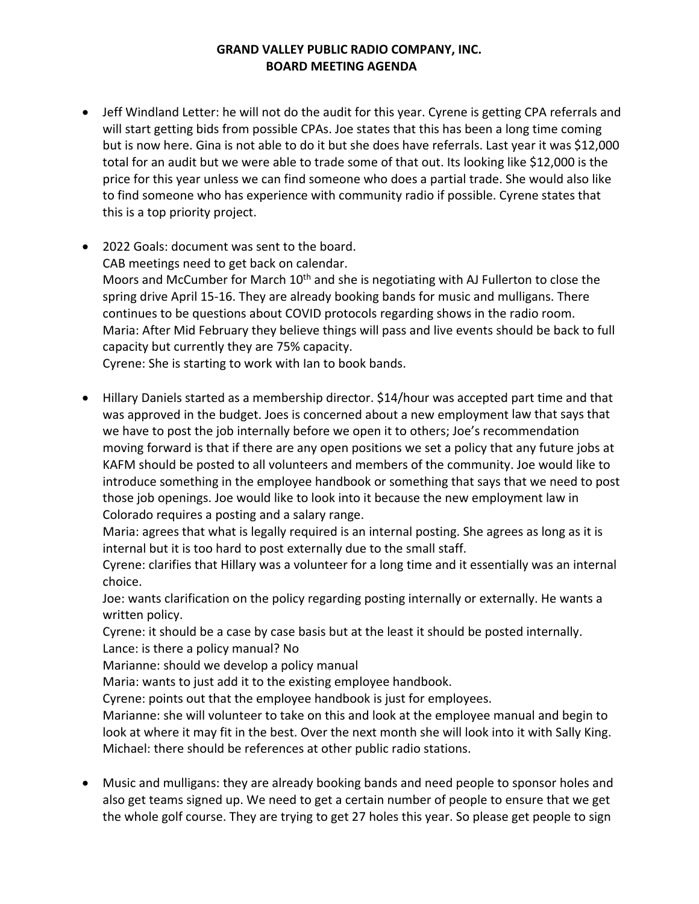- Jeff Windland Letter: he will not do the audit for this year. Cyrene is getting CPA referrals and will start getting bids from possible CPAs. Joe states that this has been a long time coming but is now here. Gina is not able to do it but she does have referrals. Last year it was \$12,000 total for an audit but we were able to trade some of that out. Its looking like \$12,000 is the price for this year unless we can find someone who does a partial trade. She would also like to find someone who has experience with community radio if possible. Cyrene states that this is a top priority project.
- 2022 Goals: document was sent to the board. CAB meetings need to get back on calendar. Moors and McCumber for March 10<sup>th</sup> and she is negotiating with AJ Fullerton to close the spring drive April 15‐16. They are already booking bands for music and mulligans. There continues to be questions about COVID protocols regarding shows in the radio room. Maria: After Mid February they believe things will pass and live events should be back to full capacity but currently they are 75% capacity. Cyrene: She is starting to work with Ian to book bands.

 Hillary Daniels started as a membership director. \$14/hour was accepted part time and that was approved in the budget. Joes is concerned about a new employment law that says that we have to post the job internally before we open it to others; Joe's recommendation moving forward is that if there are any open positions we set a policy that any future jobs at KAFM should be posted to all volunteers and members of the community. Joe would like to introduce something in the employee handbook or something that says that we need to post those job openings. Joe would like to look into it because the new employment law in

Maria: agrees that what is legally required is an internal posting. She agrees as long as it is internal but it is too hard to post externally due to the small staff.

Cyrene: clarifies that Hillary was a volunteer for a long time and it essentially was an internal choice.

Joe: wants clarification on the policy regarding posting internally or externally. He wants a written policy.

Cyrene: it should be a case by case basis but at the least it should be posted internally. Lance: is there a policy manual? No

Marianne: should we develop a policy manual

Colorado requires a posting and a salary range.

Maria: wants to just add it to the existing employee handbook.

Cyrene: points out that the employee handbook is just for employees.

Marianne: she will volunteer to take on this and look at the employee manual and begin to look at where it may fit in the best. Over the next month she will look into it with Sally King. Michael: there should be references at other public radio stations.

 Music and mulligans: they are already booking bands and need people to sponsor holes and also get teams signed up. We need to get a certain number of people to ensure that we get the whole golf course. They are trying to get 27 holes this year. So please get people to sign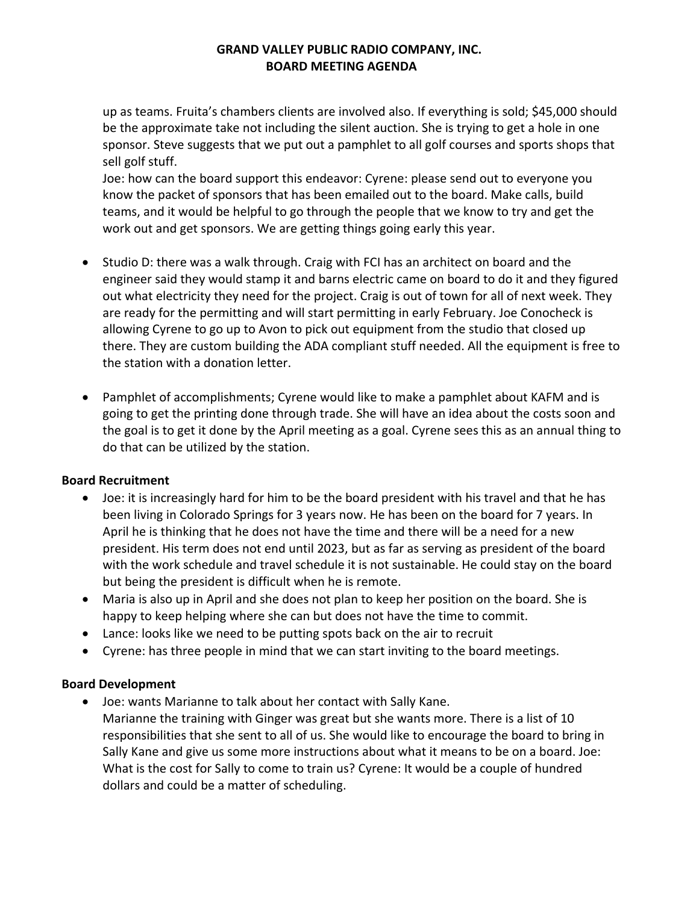up as teams. Fruita's chambers clients are involved also. If everything is sold; \$45,000 should be the approximate take not including the silent auction. She is trying to get a hole in one sponsor. Steve suggests that we put out a pamphlet to all golf courses and sports shops that sell golf stuff.

Joe: how can the board support this endeavor: Cyrene: please send out to everyone you know the packet of sponsors that has been emailed out to the board. Make calls, build teams, and it would be helpful to go through the people that we know to try and get the work out and get sponsors. We are getting things going early this year.

- Studio D: there was a walk through. Craig with FCI has an architect on board and the engineer said they would stamp it and barns electric came on board to do it and they figured out what electricity they need for the project. Craig is out of town for all of next week. They are ready for the permitting and will start permitting in early February. Joe Conocheck is allowing Cyrene to go up to Avon to pick out equipment from the studio that closed up there. They are custom building the ADA compliant stuff needed. All the equipment is free to the station with a donation letter.
- Pamphlet of accomplishments; Cyrene would like to make a pamphlet about KAFM and is going to get the printing done through trade. She will have an idea about the costs soon and the goal is to get it done by the April meeting as a goal. Cyrene sees this as an annual thing to do that can be utilized by the station.

#### **Board Recruitment**

- Joe: it is increasingly hard for him to be the board president with his travel and that he has been living in Colorado Springs for 3 years now. He has been on the board for 7 years. In April he is thinking that he does not have the time and there will be a need for a new president. His term does not end until 2023, but as far as serving as president of the board with the work schedule and travel schedule it is not sustainable. He could stay on the board but being the president is difficult when he is remote.
- Maria is also up in April and she does not plan to keep her position on the board. She is happy to keep helping where she can but does not have the time to commit.
- Lance: looks like we need to be putting spots back on the air to recruit
- Cyrene: has three people in mind that we can start inviting to the board meetings.

#### **Board Development**

 Joe: wants Marianne to talk about her contact with Sally Kane. Marianne the training with Ginger was great but she wants more. There is a list of 10 responsibilities that she sent to all of us. She would like to encourage the board to bring in Sally Kane and give us some more instructions about what it means to be on a board. Joe: What is the cost for Sally to come to train us? Cyrene: It would be a couple of hundred dollars and could be a matter of scheduling.